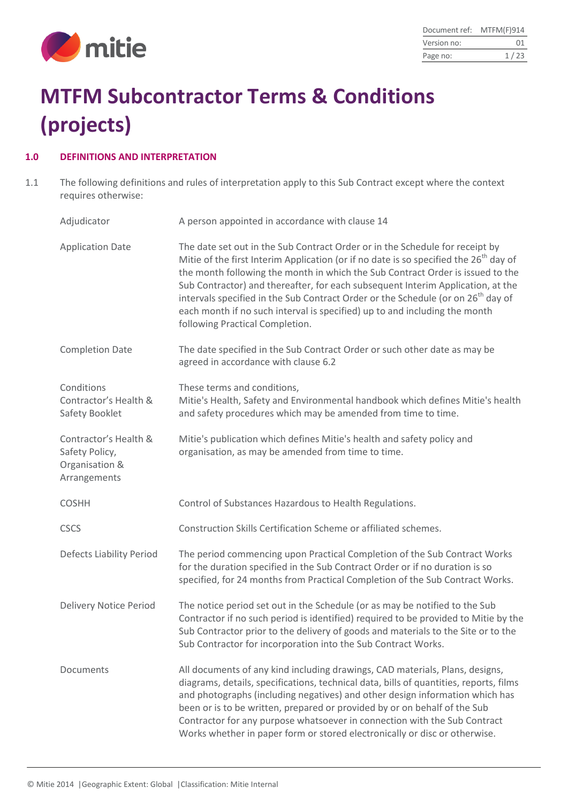

# **MTFM Subcontractor Terms & Conditions (projects)**

## **1.0 DEFINITIONS AND INTERPRETATION**

1.1 The following definitions and rules of interpretation apply to this Sub Contract except where the context requires otherwise:

| Adjudicator                                                               | A person appointed in accordance with clause 14                                                                                                                                                                                                                                                                                                                                                                                                                                                                                                                         |
|---------------------------------------------------------------------------|-------------------------------------------------------------------------------------------------------------------------------------------------------------------------------------------------------------------------------------------------------------------------------------------------------------------------------------------------------------------------------------------------------------------------------------------------------------------------------------------------------------------------------------------------------------------------|
| <b>Application Date</b>                                                   | The date set out in the Sub Contract Order or in the Schedule for receipt by<br>Mitie of the first Interim Application (or if no date is so specified the 26 <sup>th</sup> day of<br>the month following the month in which the Sub Contract Order is issued to the<br>Sub Contractor) and thereafter, for each subsequent Interim Application, at the<br>intervals specified in the Sub Contract Order or the Schedule (or on 26 <sup>th</sup> day of<br>each month if no such interval is specified) up to and including the month<br>following Practical Completion. |
| <b>Completion Date</b>                                                    | The date specified in the Sub Contract Order or such other date as may be<br>agreed in accordance with clause 6.2                                                                                                                                                                                                                                                                                                                                                                                                                                                       |
| Conditions<br>Contractor's Health &<br>Safety Booklet                     | These terms and conditions,<br>Mitie's Health, Safety and Environmental handbook which defines Mitie's health<br>and safety procedures which may be amended from time to time.                                                                                                                                                                                                                                                                                                                                                                                          |
| Contractor's Health &<br>Safety Policy,<br>Organisation &<br>Arrangements | Mitie's publication which defines Mitie's health and safety policy and<br>organisation, as may be amended from time to time.                                                                                                                                                                                                                                                                                                                                                                                                                                            |
| <b>COSHH</b>                                                              | Control of Substances Hazardous to Health Regulations.                                                                                                                                                                                                                                                                                                                                                                                                                                                                                                                  |
| <b>CSCS</b>                                                               | Construction Skills Certification Scheme or affiliated schemes.                                                                                                                                                                                                                                                                                                                                                                                                                                                                                                         |
| <b>Defects Liability Period</b>                                           | The period commencing upon Practical Completion of the Sub Contract Works<br>for the duration specified in the Sub Contract Order or if no duration is so<br>specified, for 24 months from Practical Completion of the Sub Contract Works.                                                                                                                                                                                                                                                                                                                              |
| <b>Delivery Notice Period</b>                                             | The notice period set out in the Schedule (or as may be notified to the Sub<br>Contractor if no such period is identified) required to be provided to Mitie by the<br>Sub Contractor prior to the delivery of goods and materials to the Site or to the<br>Sub Contractor for incorporation into the Sub Contract Works.                                                                                                                                                                                                                                                |
| Documents                                                                 | All documents of any kind including drawings, CAD materials, Plans, designs,<br>diagrams, details, specifications, technical data, bills of quantities, reports, films<br>and photographs (including negatives) and other design information which has<br>been or is to be written, prepared or provided by or on behalf of the Sub<br>Contractor for any purpose whatsoever in connection with the Sub Contract<br>Works whether in paper form or stored electronically or disc or otherwise.                                                                          |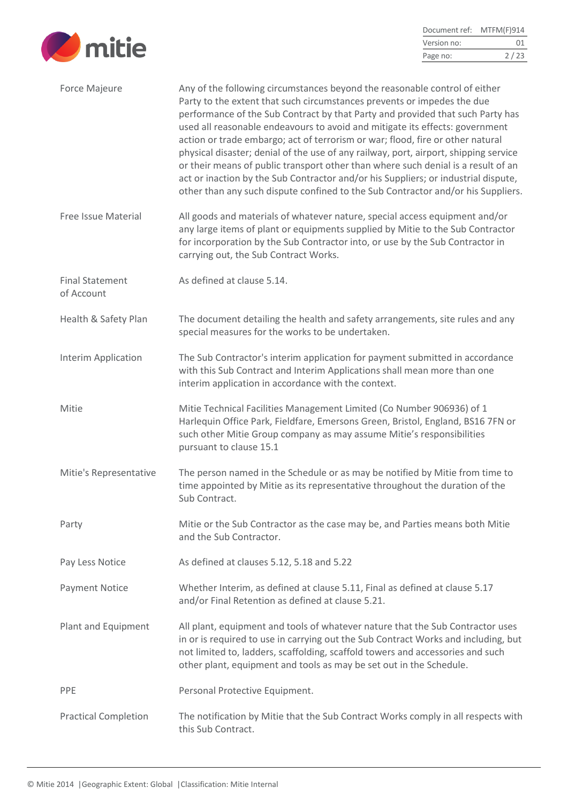

| Document ref: | MTFM(F)914 |
|---------------|------------|
| Version no:   | 01         |
| Page no:      | 2/23       |

| Force Majeure                        | Any of the following circumstances beyond the reasonable control of either<br>Party to the extent that such circumstances prevents or impedes the due<br>performance of the Sub Contract by that Party and provided that such Party has<br>used all reasonable endeavours to avoid and mitigate its effects: government<br>action or trade embargo; act of terrorism or war; flood, fire or other natural<br>physical disaster; denial of the use of any railway, port, airport, shipping service<br>or their means of public transport other than where such denial is a result of an<br>act or inaction by the Sub Contractor and/or his Suppliers; or industrial dispute,<br>other than any such dispute confined to the Sub Contractor and/or his Suppliers. |
|--------------------------------------|------------------------------------------------------------------------------------------------------------------------------------------------------------------------------------------------------------------------------------------------------------------------------------------------------------------------------------------------------------------------------------------------------------------------------------------------------------------------------------------------------------------------------------------------------------------------------------------------------------------------------------------------------------------------------------------------------------------------------------------------------------------|
| <b>Free Issue Material</b>           | All goods and materials of whatever nature, special access equipment and/or<br>any large items of plant or equipments supplied by Mitie to the Sub Contractor<br>for incorporation by the Sub Contractor into, or use by the Sub Contractor in<br>carrying out, the Sub Contract Works.                                                                                                                                                                                                                                                                                                                                                                                                                                                                          |
| <b>Final Statement</b><br>of Account | As defined at clause 5.14.                                                                                                                                                                                                                                                                                                                                                                                                                                                                                                                                                                                                                                                                                                                                       |
| Health & Safety Plan                 | The document detailing the health and safety arrangements, site rules and any<br>special measures for the works to be undertaken.                                                                                                                                                                                                                                                                                                                                                                                                                                                                                                                                                                                                                                |
| Interim Application                  | The Sub Contractor's interim application for payment submitted in accordance<br>with this Sub Contract and Interim Applications shall mean more than one<br>interim application in accordance with the context.                                                                                                                                                                                                                                                                                                                                                                                                                                                                                                                                                  |
| Mitie                                | Mitie Technical Facilities Management Limited (Co Number 906936) of 1<br>Harlequin Office Park, Fieldfare, Emersons Green, Bristol, England, BS16 7FN or<br>such other Mitie Group company as may assume Mitie's responsibilities<br>pursuant to clause 15.1                                                                                                                                                                                                                                                                                                                                                                                                                                                                                                     |
| Mitie's Representative               | The person named in the Schedule or as may be notified by Mitie from time to<br>time appointed by Mitie as its representative throughout the duration of the<br>Sub Contract.                                                                                                                                                                                                                                                                                                                                                                                                                                                                                                                                                                                    |
| Party                                | Mitie or the Sub Contractor as the case may be, and Parties means both Mitie<br>and the Sub Contractor.                                                                                                                                                                                                                                                                                                                                                                                                                                                                                                                                                                                                                                                          |
| Pay Less Notice                      | As defined at clauses 5.12, 5.18 and 5.22                                                                                                                                                                                                                                                                                                                                                                                                                                                                                                                                                                                                                                                                                                                        |
| <b>Payment Notice</b>                | Whether Interim, as defined at clause 5.11, Final as defined at clause 5.17<br>and/or Final Retention as defined at clause 5.21.                                                                                                                                                                                                                                                                                                                                                                                                                                                                                                                                                                                                                                 |
| Plant and Equipment                  | All plant, equipment and tools of whatever nature that the Sub Contractor uses<br>in or is required to use in carrying out the Sub Contract Works and including, but<br>not limited to, ladders, scaffolding, scaffold towers and accessories and such<br>other plant, equipment and tools as may be set out in the Schedule.                                                                                                                                                                                                                                                                                                                                                                                                                                    |
| <b>PPE</b>                           | Personal Protective Equipment.                                                                                                                                                                                                                                                                                                                                                                                                                                                                                                                                                                                                                                                                                                                                   |
| <b>Practical Completion</b>          | The notification by Mitie that the Sub Contract Works comply in all respects with<br>this Sub Contract.                                                                                                                                                                                                                                                                                                                                                                                                                                                                                                                                                                                                                                                          |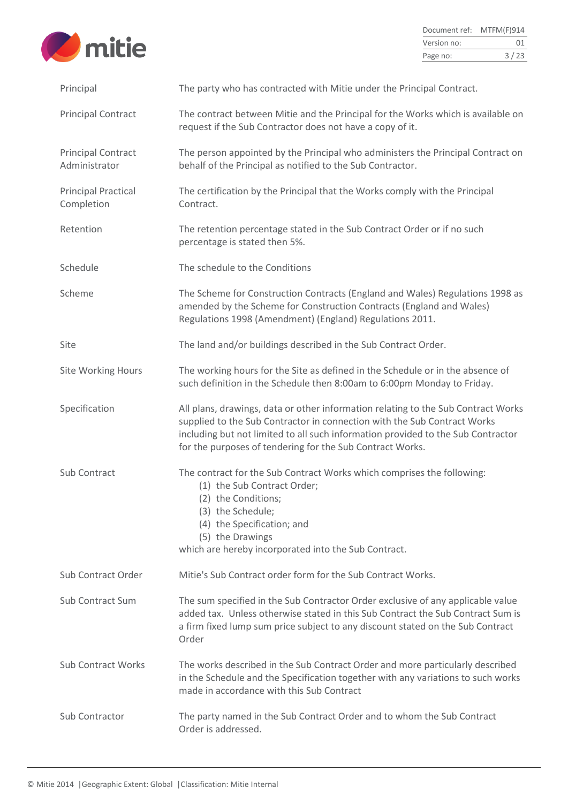

| Document ref: | MTFM(F)914 |
|---------------|------------|
| Version no:   | 01         |
| Page no:      | 3/23       |

| Principal                                  | The party who has contracted with Mitie under the Principal Contract.                                                                                                                                                                                                                                          |
|--------------------------------------------|----------------------------------------------------------------------------------------------------------------------------------------------------------------------------------------------------------------------------------------------------------------------------------------------------------------|
| <b>Principal Contract</b>                  | The contract between Mitie and the Principal for the Works which is available on<br>request if the Sub Contractor does not have a copy of it.                                                                                                                                                                  |
| <b>Principal Contract</b><br>Administrator | The person appointed by the Principal who administers the Principal Contract on<br>behalf of the Principal as notified to the Sub Contractor.                                                                                                                                                                  |
| <b>Principal Practical</b><br>Completion   | The certification by the Principal that the Works comply with the Principal<br>Contract.                                                                                                                                                                                                                       |
| Retention                                  | The retention percentage stated in the Sub Contract Order or if no such<br>percentage is stated then 5%.                                                                                                                                                                                                       |
| Schedule                                   | The schedule to the Conditions                                                                                                                                                                                                                                                                                 |
| Scheme                                     | The Scheme for Construction Contracts (England and Wales) Regulations 1998 as<br>amended by the Scheme for Construction Contracts (England and Wales)<br>Regulations 1998 (Amendment) (England) Regulations 2011.                                                                                              |
| Site                                       | The land and/or buildings described in the Sub Contract Order.                                                                                                                                                                                                                                                 |
| <b>Site Working Hours</b>                  | The working hours for the Site as defined in the Schedule or in the absence of<br>such definition in the Schedule then 8:00am to 6:00pm Monday to Friday.                                                                                                                                                      |
| Specification                              | All plans, drawings, data or other information relating to the Sub Contract Works<br>supplied to the Sub Contractor in connection with the Sub Contract Works<br>including but not limited to all such information provided to the Sub Contractor<br>for the purposes of tendering for the Sub Contract Works. |
| Sub Contract                               | The contract for the Sub Contract Works which comprises the following:<br>(1) the Sub Contract Order;<br>(2) the Conditions;<br>(3) the Schedule;<br>(4) the Specification; and<br>(5) the Drawings<br>which are hereby incorporated into the Sub Contract.                                                    |
| Sub Contract Order                         | Mitie's Sub Contract order form for the Sub Contract Works.                                                                                                                                                                                                                                                    |
| <b>Sub Contract Sum</b>                    | The sum specified in the Sub Contractor Order exclusive of any applicable value<br>added tax. Unless otherwise stated in this Sub Contract the Sub Contract Sum is<br>a firm fixed lump sum price subject to any discount stated on the Sub Contract<br>Order                                                  |
| <b>Sub Contract Works</b>                  | The works described in the Sub Contract Order and more particularly described<br>in the Schedule and the Specification together with any variations to such works<br>made in accordance with this Sub Contract                                                                                                 |
| Sub Contractor                             | The party named in the Sub Contract Order and to whom the Sub Contract<br>Order is addressed.                                                                                                                                                                                                                  |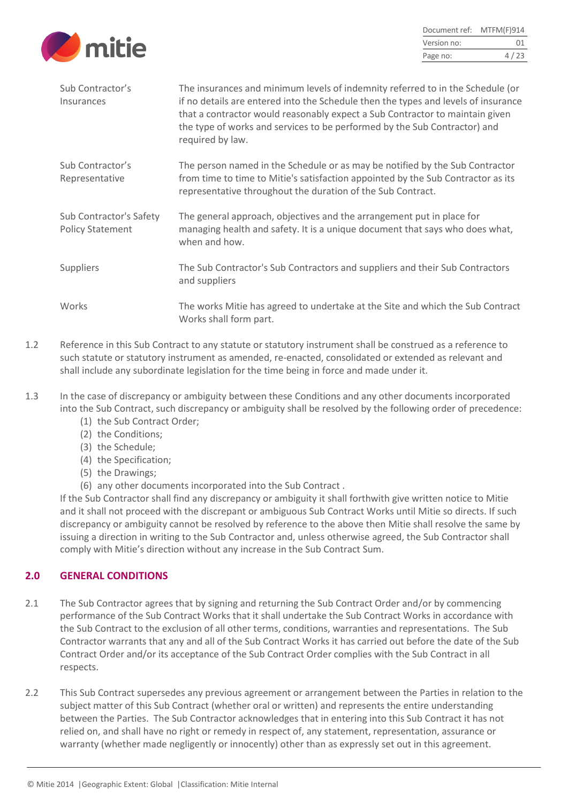

| Document ref: | MTFM(F)914 |
|---------------|------------|
| Version no:   | 01         |
| Page no:      | 4/23       |

| Sub Contractor's<br>Insurances                     | The insurances and minimum levels of indemnity referred to in the Schedule (or<br>if no details are entered into the Schedule then the types and levels of insurance<br>that a contractor would reasonably expect a Sub Contractor to maintain given<br>the type of works and services to be performed by the Sub Contractor) and<br>required by law. |
|----------------------------------------------------|-------------------------------------------------------------------------------------------------------------------------------------------------------------------------------------------------------------------------------------------------------------------------------------------------------------------------------------------------------|
| Sub Contractor's<br>Representative                 | The person named in the Schedule or as may be notified by the Sub Contractor<br>from time to time to Mitie's satisfaction appointed by the Sub Contractor as its<br>representative throughout the duration of the Sub Contract.                                                                                                                       |
| Sub Contractor's Safety<br><b>Policy Statement</b> | The general approach, objectives and the arrangement put in place for<br>managing health and safety. It is a unique document that says who does what,<br>when and how.                                                                                                                                                                                |
| <b>Suppliers</b>                                   | The Sub Contractor's Sub Contractors and suppliers and their Sub Contractors<br>and suppliers                                                                                                                                                                                                                                                         |
| <b>Works</b>                                       | The works Mitie has agreed to undertake at the Site and which the Sub Contract<br>Works shall form part.                                                                                                                                                                                                                                              |

- 1.2 Reference in this Sub Contract to any statute or statutory instrument shall be construed as a reference to such statute or statutory instrument as amended, re-enacted, consolidated or extended as relevant and shall include any subordinate legislation for the time being in force and made under it.
- 1.3 In the case of discrepancy or ambiguity between these Conditions and any other documents incorporated into the Sub Contract, such discrepancy or ambiguity shall be resolved by the following order of precedence:
	- (1) the Sub Contract Order;
	- (2) the Conditions;
	- (3) the Schedule;
	- (4) the Specification;
	- (5) the Drawings;
	- (6) any other documents incorporated into the Sub Contract .

If the Sub Contractor shall find any discrepancy or ambiguity it shall forthwith give written notice to Mitie and it shall not proceed with the discrepant or ambiguous Sub Contract Works until Mitie so directs. If such discrepancy or ambiguity cannot be resolved by reference to the above then Mitie shall resolve the same by issuing a direction in writing to the Sub Contractor and, unless otherwise agreed, the Sub Contractor shall comply with Mitie's direction without any increase in the Sub Contract Sum.

# **2.0 GENERAL CONDITIONS**

- 2.1 The Sub Contractor agrees that by signing and returning the Sub Contract Order and/or by commencing performance of the Sub Contract Works that it shall undertake the Sub Contract Works in accordance with the Sub Contract to the exclusion of all other terms, conditions, warranties and representations. The Sub Contractor warrants that any and all of the Sub Contract Works it has carried out before the date of the Sub Contract Order and/or its acceptance of the Sub Contract Order complies with the Sub Contract in all respects.
- 2.2 This Sub Contract supersedes any previous agreement or arrangement between the Parties in relation to the subject matter of this Sub Contract (whether oral or written) and represents the entire understanding between the Parties. The Sub Contractor acknowledges that in entering into this Sub Contract it has not relied on, and shall have no right or remedy in respect of, any statement, representation, assurance or warranty (whether made negligently or innocently) other than as expressly set out in this agreement.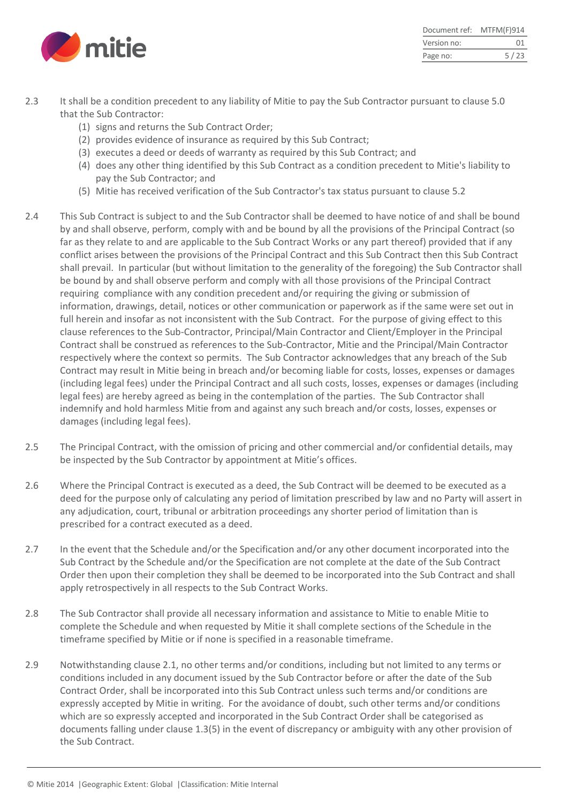

| Document ref: | MTFM(F)914 |
|---------------|------------|
| Version no:   | 01         |
| Page no:      | 5/23       |

- 2.3 It shall be a condition precedent to any liability of Mitie to pay the Sub Contractor pursuant to clause 5.0 that the Sub Contractor:
	- (1) signs and returns the Sub Contract Order;
	- (2) provides evidence of insurance as required by this Sub Contract;
	- (3) executes a deed or deeds of warranty as required by this Sub Contract; and
	- (4) does any other thing identified by this Sub Contract as a condition precedent to Mitie's liability to pay the Sub Contractor; and
	- (5) Mitie has received verification of the Sub Contractor's tax status pursuant to clause 5.2
- 2.4 This Sub Contract is subject to and the Sub Contractor shall be deemed to have notice of and shall be bound by and shall observe, perform, comply with and be bound by all the provisions of the Principal Contract (so far as they relate to and are applicable to the Sub Contract Works or any part thereof) provided that if any conflict arises between the provisions of the Principal Contract and this Sub Contract then this Sub Contract shall prevail. In particular (but without limitation to the generality of the foregoing) the Sub Contractor shall be bound by and shall observe perform and comply with all those provisions of the Principal Contract requiring compliance with any condition precedent and/or requiring the giving or submission of information, drawings, detail, notices or other communication or paperwork as if the same were set out in full herein and insofar as not inconsistent with the Sub Contract. For the purpose of giving effect to this clause references to the Sub-Contractor, Principal/Main Contractor and Client/Employer in the Principal Contract shall be construed as references to the Sub-Contractor, Mitie and the Principal/Main Contractor respectively where the context so permits. The Sub Contractor acknowledges that any breach of the Sub Contract may result in Mitie being in breach and/or becoming liable for costs, losses, expenses or damages (including legal fees) under the Principal Contract and all such costs, losses, expenses or damages (including legal fees) are hereby agreed as being in the contemplation of the parties. The Sub Contractor shall indemnify and hold harmless Mitie from and against any such breach and/or costs, losses, expenses or damages (including legal fees).
- 2.5 The Principal Contract, with the omission of pricing and other commercial and/or confidential details, may be inspected by the Sub Contractor by appointment at Mitie's offices.
- 2.6 Where the Principal Contract is executed as a deed, the Sub Contract will be deemed to be executed as a deed for the purpose only of calculating any period of limitation prescribed by law and no Party will assert in any adjudication, court, tribunal or arbitration proceedings any shorter period of limitation than is prescribed for a contract executed as a deed.
- 2.7 In the event that the Schedule and/or the Specification and/or any other document incorporated into the Sub Contract by the Schedule and/or the Specification are not complete at the date of the Sub Contract Order then upon their completion they shall be deemed to be incorporated into the Sub Contract and shall apply retrospectively in all respects to the Sub Contract Works.
- 2.8 The Sub Contractor shall provide all necessary information and assistance to Mitie to enable Mitie to complete the Schedule and when requested by Mitie it shall complete sections of the Schedule in the timeframe specified by Mitie or if none is specified in a reasonable timeframe.
- 2.9 Notwithstanding clause 2.1, no other terms and/or conditions, including but not limited to any terms or conditions included in any document issued by the Sub Contractor before or after the date of the Sub Contract Order, shall be incorporated into this Sub Contract unless such terms and/or conditions are expressly accepted by Mitie in writing. For the avoidance of doubt, such other terms and/or conditions which are so expressly accepted and incorporated in the Sub Contract Order shall be categorised as documents falling under clause 1.3(5) in the event of discrepancy or ambiguity with any other provision of the Sub Contract.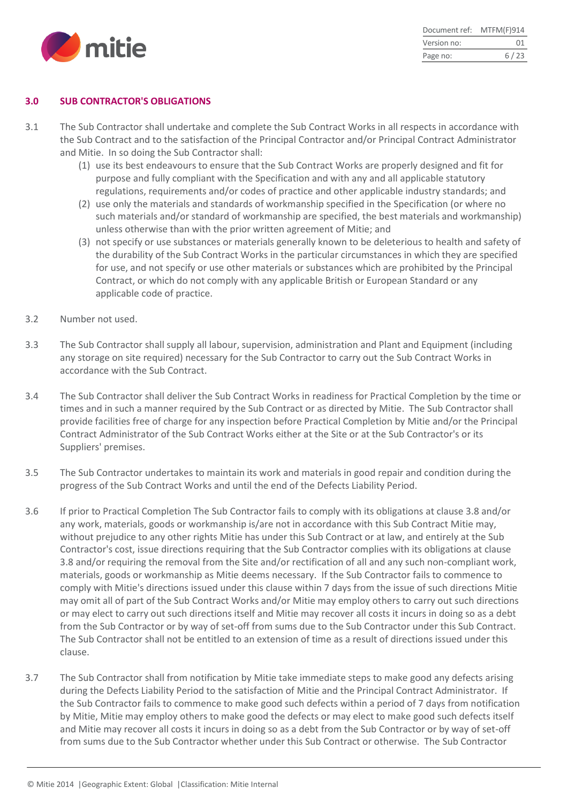

| Document ref: | MTFM(F)914 |
|---------------|------------|
| Version no:   | 01         |
| Page no:      | 6/23       |

#### **3.0 SUB CONTRACTOR'S OBLIGATIONS**

- 3.1 The Sub Contractor shall undertake and complete the Sub Contract Works in all respects in accordance with the Sub Contract and to the satisfaction of the Principal Contractor and/or Principal Contract Administrator and Mitie. In so doing the Sub Contractor shall:
	- (1) use its best endeavours to ensure that the Sub Contract Works are properly designed and fit for purpose and fully compliant with the Specification and with any and all applicable statutory regulations, requirements and/or codes of practice and other applicable industry standards; and
	- (2) use only the materials and standards of workmanship specified in the Specification (or where no such materials and/or standard of workmanship are specified, the best materials and workmanship) unless otherwise than with the prior written agreement of Mitie; and
	- (3) not specify or use substances or materials generally known to be deleterious to health and safety of the durability of the Sub Contract Works in the particular circumstances in which they are specified for use, and not specify or use other materials or substances which are prohibited by the Principal Contract, or which do not comply with any applicable British or European Standard or any applicable code of practice.
- 3.2 Number not used.
- 3.3 The Sub Contractor shall supply all labour, supervision, administration and Plant and Equipment (including any storage on site required) necessary for the Sub Contractor to carry out the Sub Contract Works in accordance with the Sub Contract.
- 3.4 The Sub Contractor shall deliver the Sub Contract Works in readiness for Practical Completion by the time or times and in such a manner required by the Sub Contract or as directed by Mitie. The Sub Contractor shall provide facilities free of charge for any inspection before Practical Completion by Mitie and/or the Principal Contract Administrator of the Sub Contract Works either at the Site or at the Sub Contractor's or its Suppliers' premises.
- 3.5 The Sub Contractor undertakes to maintain its work and materials in good repair and condition during the progress of the Sub Contract Works and until the end of the Defects Liability Period.
- 3.6 If prior to Practical Completion The Sub Contractor fails to comply with its obligations at clause 3.8 and/or any work, materials, goods or workmanship is/are not in accordance with this Sub Contract Mitie may, without prejudice to any other rights Mitie has under this Sub Contract or at law, and entirely at the Sub Contractor's cost, issue directions requiring that the Sub Contractor complies with its obligations at clause 3.8 and/or requiring the removal from the Site and/or rectification of all and any such non-compliant work, materials, goods or workmanship as Mitie deems necessary. If the Sub Contractor fails to commence to comply with Mitie's directions issued under this clause within 7 days from the issue of such directions Mitie may omit all of part of the Sub Contract Works and/or Mitie may employ others to carry out such directions or may elect to carry out such directions itself and Mitie may recover all costs it incurs in doing so as a debt from the Sub Contractor or by way of set-off from sums due to the Sub Contractor under this Sub Contract. The Sub Contractor shall not be entitled to an extension of time as a result of directions issued under this clause.
- 3.7 The Sub Contractor shall from notification by Mitie take immediate steps to make good any defects arising during the Defects Liability Period to the satisfaction of Mitie and the Principal Contract Administrator. If the Sub Contractor fails to commence to make good such defects within a period of 7 days from notification by Mitie, Mitie may employ others to make good the defects or may elect to make good such defects itself and Mitie may recover all costs it incurs in doing so as a debt from the Sub Contractor or by way of set-off from sums due to the Sub Contractor whether under this Sub Contract or otherwise. The Sub Contractor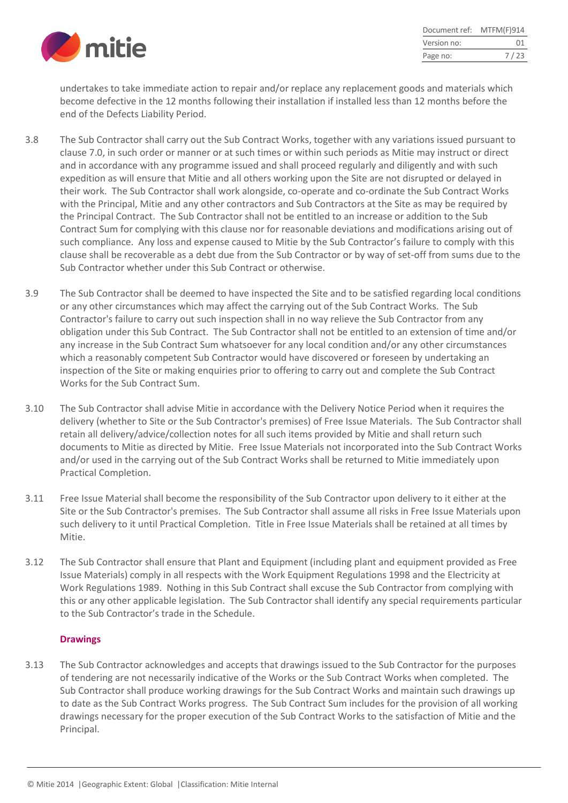

| Document ref: | MTFM(F)914 |
|---------------|------------|
| Version no:   | ()1        |
| Page no:      | 7/23       |

undertakes to take immediate action to repair and/or replace any replacement goods and materials which become defective in the 12 months following their installation if installed less than 12 months before the end of the Defects Liability Period.

- 3.8 The Sub Contractor shall carry out the Sub Contract Works, together with any variations issued pursuant to clause 7.0, in such order or manner or at such times or within such periods as Mitie may instruct or direct and in accordance with any programme issued and shall proceed regularly and diligently and with such expedition as will ensure that Mitie and all others working upon the Site are not disrupted or delayed in their work. The Sub Contractor shall work alongside, co-operate and co-ordinate the Sub Contract Works with the Principal, Mitie and any other contractors and Sub Contractors at the Site as may be required by the Principal Contract. The Sub Contractor shall not be entitled to an increase or addition to the Sub Contract Sum for complying with this clause nor for reasonable deviations and modifications arising out of such compliance. Any loss and expense caused to Mitie by the Sub Contractor's failure to comply with this clause shall be recoverable as a debt due from the Sub Contractor or by way of set-off from sums due to the Sub Contractor whether under this Sub Contract or otherwise.
- 3.9 The Sub Contractor shall be deemed to have inspected the Site and to be satisfied regarding local conditions or any other circumstances which may affect the carrying out of the Sub Contract Works. The Sub Contractor's failure to carry out such inspection shall in no way relieve the Sub Contractor from any obligation under this Sub Contract. The Sub Contractor shall not be entitled to an extension of time and/or any increase in the Sub Contract Sum whatsoever for any local condition and/or any other circumstances which a reasonably competent Sub Contractor would have discovered or foreseen by undertaking an inspection of the Site or making enquiries prior to offering to carry out and complete the Sub Contract Works for the Sub Contract Sum.
- 3.10 The Sub Contractor shall advise Mitie in accordance with the Delivery Notice Period when it requires the delivery (whether to Site or the Sub Contractor's premises) of Free Issue Materials. The Sub Contractor shall retain all delivery/advice/collection notes for all such items provided by Mitie and shall return such documents to Mitie as directed by Mitie. Free Issue Materials not incorporated into the Sub Contract Works and/or used in the carrying out of the Sub Contract Works shall be returned to Mitie immediately upon Practical Completion.
- 3.11 Free Issue Material shall become the responsibility of the Sub Contractor upon delivery to it either at the Site or the Sub Contractor's premises. The Sub Contractor shall assume all risks in Free Issue Materials upon such delivery to it until Practical Completion. Title in Free Issue Materials shall be retained at all times by Mitie.
- 3.12 The Sub Contractor shall ensure that Plant and Equipment (including plant and equipment provided as Free Issue Materials) comply in all respects with the Work Equipment Regulations 1998 and the Electricity at Work Regulations 1989. Nothing in this Sub Contract shall excuse the Sub Contractor from complying with this or any other applicable legislation. The Sub Contractor shall identify any special requirements particular to the Sub Contractor's trade in the Schedule.

## **Drawings**

3.13 The Sub Contractor acknowledges and accepts that drawings issued to the Sub Contractor for the purposes of tendering are not necessarily indicative of the Works or the Sub Contract Works when completed. The Sub Contractor shall produce working drawings for the Sub Contract Works and maintain such drawings up to date as the Sub Contract Works progress. The Sub Contract Sum includes for the provision of all working drawings necessary for the proper execution of the Sub Contract Works to the satisfaction of Mitie and the Principal.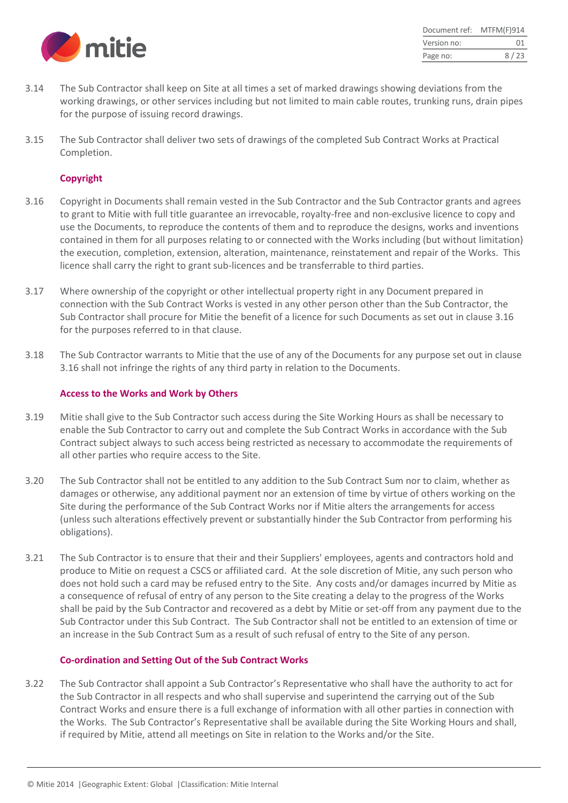

| Document ref: | MTFM(F)914 |
|---------------|------------|
| Version no:   | 01         |
| Page no:      | 8/23       |

- 3.14 The Sub Contractor shall keep on Site at all times a set of marked drawings showing deviations from the working drawings, or other services including but not limited to main cable routes, trunking runs, drain pipes for the purpose of issuing record drawings.
- 3.15 The Sub Contractor shall deliver two sets of drawings of the completed Sub Contract Works at Practical Completion.

#### **Copyright**

- 3.16 Copyright in Documents shall remain vested in the Sub Contractor and the Sub Contractor grants and agrees to grant to Mitie with full title guarantee an irrevocable, royalty-free and non-exclusive licence to copy and use the Documents, to reproduce the contents of them and to reproduce the designs, works and inventions contained in them for all purposes relating to or connected with the Works including (but without limitation) the execution, completion, extension, alteration, maintenance, reinstatement and repair of the Works. This licence shall carry the right to grant sub-licences and be transferrable to third parties.
- 3.17 Where ownership of the copyright or other intellectual property right in any Document prepared in connection with the Sub Contract Works is vested in any other person other than the Sub Contractor, the Sub Contractor shall procure for Mitie the benefit of a licence for such Documents as set out in clause 3.16 for the purposes referred to in that clause.
- 3.18 The Sub Contractor warrants to Mitie that the use of any of the Documents for any purpose set out in clause 3.16 shall not infringe the rights of any third party in relation to the Documents.

#### **Access to the Works and Work by Others**

- 3.19 Mitie shall give to the Sub Contractor such access during the Site Working Hours as shall be necessary to enable the Sub Contractor to carry out and complete the Sub Contract Works in accordance with the Sub Contract subject always to such access being restricted as necessary to accommodate the requirements of all other parties who require access to the Site.
- 3.20 The Sub Contractor shall not be entitled to any addition to the Sub Contract Sum nor to claim, whether as damages or otherwise, any additional payment nor an extension of time by virtue of others working on the Site during the performance of the Sub Contract Works nor if Mitie alters the arrangements for access (unless such alterations effectively prevent or substantially hinder the Sub Contractor from performing his obligations).
- 3.21 The Sub Contractor is to ensure that their and their Suppliers' employees, agents and contractors hold and produce to Mitie on request a CSCS or affiliated card. At the sole discretion of Mitie, any such person who does not hold such a card may be refused entry to the Site. Any costs and/or damages incurred by Mitie as a consequence of refusal of entry of any person to the Site creating a delay to the progress of the Works shall be paid by the Sub Contractor and recovered as a debt by Mitie or set-off from any payment due to the Sub Contractor under this Sub Contract. The Sub Contractor shall not be entitled to an extension of time or an increase in the Sub Contract Sum as a result of such refusal of entry to the Site of any person.

#### **Co-ordination and Setting Out of the Sub Contract Works**

3.22 The Sub Contractor shall appoint a Sub Contractor's Representative who shall have the authority to act for the Sub Contractor in all respects and who shall supervise and superintend the carrying out of the Sub Contract Works and ensure there is a full exchange of information with all other parties in connection with the Works. The Sub Contractor's Representative shall be available during the Site Working Hours and shall, if required by Mitie, attend all meetings on Site in relation to the Works and/or the Site.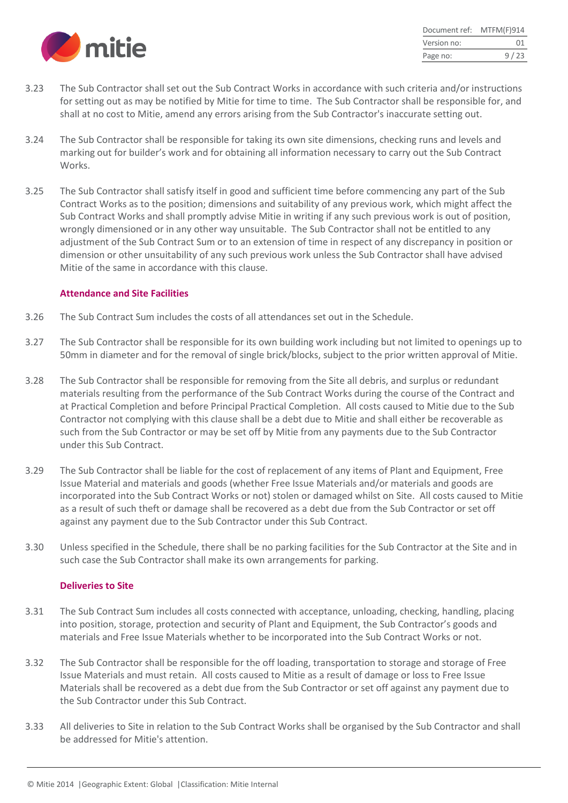

| Document ref: | MTFM(F)914 |
|---------------|------------|
| Version no:   | 01         |
| Page no:      | 9/23       |

- 3.23 The Sub Contractor shall set out the Sub Contract Works in accordance with such criteria and/or instructions for setting out as may be notified by Mitie for time to time. The Sub Contractor shall be responsible for, and shall at no cost to Mitie, amend any errors arising from the Sub Contractor's inaccurate setting out.
- 3.24 The Sub Contractor shall be responsible for taking its own site dimensions, checking runs and levels and marking out for builder's work and for obtaining all information necessary to carry out the Sub Contract Works.
- 3.25 The Sub Contractor shall satisfy itself in good and sufficient time before commencing any part of the Sub Contract Works as to the position; dimensions and suitability of any previous work, which might affect the Sub Contract Works and shall promptly advise Mitie in writing if any such previous work is out of position, wrongly dimensioned or in any other way unsuitable. The Sub Contractor shall not be entitled to any adjustment of the Sub Contract Sum or to an extension of time in respect of any discrepancy in position or dimension or other unsuitability of any such previous work unless the Sub Contractor shall have advised Mitie of the same in accordance with this clause.

#### **Attendance and Site Facilities**

- 3.26 The Sub Contract Sum includes the costs of all attendances set out in the Schedule.
- 3.27 The Sub Contractor shall be responsible for its own building work including but not limited to openings up to 50mm in diameter and for the removal of single brick/blocks, subject to the prior written approval of Mitie.
- 3.28 The Sub Contractor shall be responsible for removing from the Site all debris, and surplus or redundant materials resulting from the performance of the Sub Contract Works during the course of the Contract and at Practical Completion and before Principal Practical Completion. All costs caused to Mitie due to the Sub Contractor not complying with this clause shall be a debt due to Mitie and shall either be recoverable as such from the Sub Contractor or may be set off by Mitie from any payments due to the Sub Contractor under this Sub Contract.
- 3.29 The Sub Contractor shall be liable for the cost of replacement of any items of Plant and Equipment, Free Issue Material and materials and goods (whether Free Issue Materials and/or materials and goods are incorporated into the Sub Contract Works or not) stolen or damaged whilst on Site. All costs caused to Mitie as a result of such theft or damage shall be recovered as a debt due from the Sub Contractor or set off against any payment due to the Sub Contractor under this Sub Contract.
- 3.30 Unless specified in the Schedule, there shall be no parking facilities for the Sub Contractor at the Site and in such case the Sub Contractor shall make its own arrangements for parking.

#### **Deliveries to Site**

- 3.31 The Sub Contract Sum includes all costs connected with acceptance, unloading, checking, handling, placing into position, storage, protection and security of Plant and Equipment, the Sub Contractor's goods and materials and Free Issue Materials whether to be incorporated into the Sub Contract Works or not.
- 3.32 The Sub Contractor shall be responsible for the off loading, transportation to storage and storage of Free Issue Materials and must retain. All costs caused to Mitie as a result of damage or loss to Free Issue Materials shall be recovered as a debt due from the Sub Contractor or set off against any payment due to the Sub Contractor under this Sub Contract.
- 3.33 All deliveries to Site in relation to the Sub Contract Works shall be organised by the Sub Contractor and shall be addressed for Mitie's attention.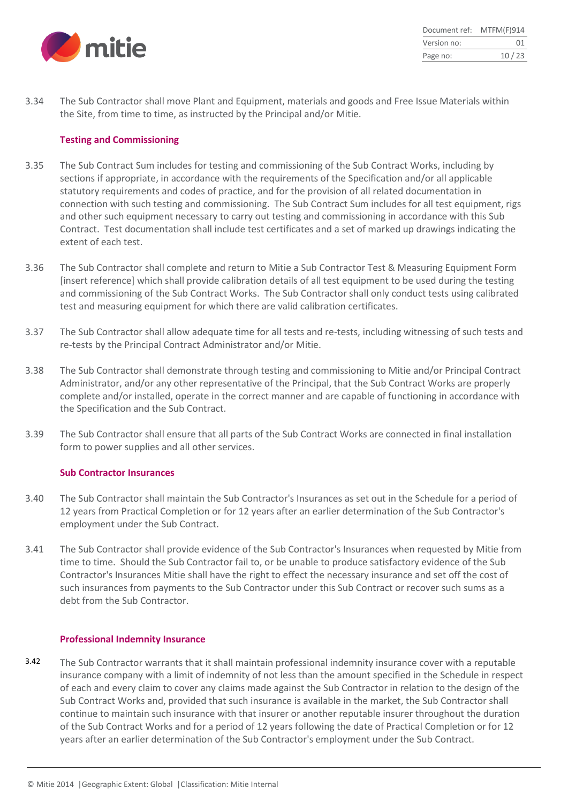

| Document ref: | MTFM(F)914 |
|---------------|------------|
| Version no:   | 01         |
| Page no:      | 10/23      |

3.34 The Sub Contractor shall move Plant and Equipment, materials and goods and Free Issue Materials within the Site, from time to time, as instructed by the Principal and/or Mitie.

#### **Testing and Commissioning**

- 3.35 The Sub Contract Sum includes for testing and commissioning of the Sub Contract Works, including by sections if appropriate, in accordance with the requirements of the Specification and/or all applicable statutory requirements and codes of practice, and for the provision of all related documentation in connection with such testing and commissioning. The Sub Contract Sum includes for all test equipment, rigs and other such equipment necessary to carry out testing and commissioning in accordance with this Sub Contract. Test documentation shall include test certificates and a set of marked up drawings indicating the extent of each test.
- 3.36 The Sub Contractor shall complete and return to Mitie a Sub Contractor Test & Measuring Equipment Form [insert reference] which shall provide calibration details of all test equipment to be used during the testing and commissioning of the Sub Contract Works. The Sub Contractor shall only conduct tests using calibrated test and measuring equipment for which there are valid calibration certificates.
- 3.37 The Sub Contractor shall allow adequate time for all tests and re-tests, including witnessing of such tests and re-tests by the Principal Contract Administrator and/or Mitie.
- 3.38 The Sub Contractor shall demonstrate through testing and commissioning to Mitie and/or Principal Contract Administrator, and/or any other representative of the Principal, that the Sub Contract Works are properly complete and/or installed, operate in the correct manner and are capable of functioning in accordance with the Specification and the Sub Contract.
- 3.39 The Sub Contractor shall ensure that all parts of the Sub Contract Works are connected in final installation form to power supplies and all other services.

#### **Sub Contractor Insurances**

- 3.40 The Sub Contractor shall maintain the Sub Contractor's Insurances as set out in the Schedule for a period of 12 years from Practical Completion or for 12 years after an earlier determination of the Sub Contractor's employment under the Sub Contract.
- 3.41 The Sub Contractor shall provide evidence of the Sub Contractor's Insurances when requested by Mitie from time to time. Should the Sub Contractor fail to, or be unable to produce satisfactory evidence of the Sub Contractor's Insurances Mitie shall have the right to effect the necessary insurance and set off the cost of such insurances from payments to the Sub Contractor under this Sub Contract or recover such sums as a debt from the Sub Contractor.

#### **Professional Indemnity Insurance**

3.42 The Sub Contractor warrants that it shall maintain professional indemnity insurance cover with a reputable insurance company with a limit of indemnity of not less than the amount specified in the Schedule in respect of each and every claim to cover any claims made against the Sub Contractor in relation to the design of the Sub Contract Works and, provided that such insurance is available in the market, the Sub Contractor shall continue to maintain such insurance with that insurer or another reputable insurer throughout the duration of the Sub Contract Works and for a period of 12 years following the date of Practical Completion or for 12 years after an earlier determination of the Sub Contractor's employment under the Sub Contract.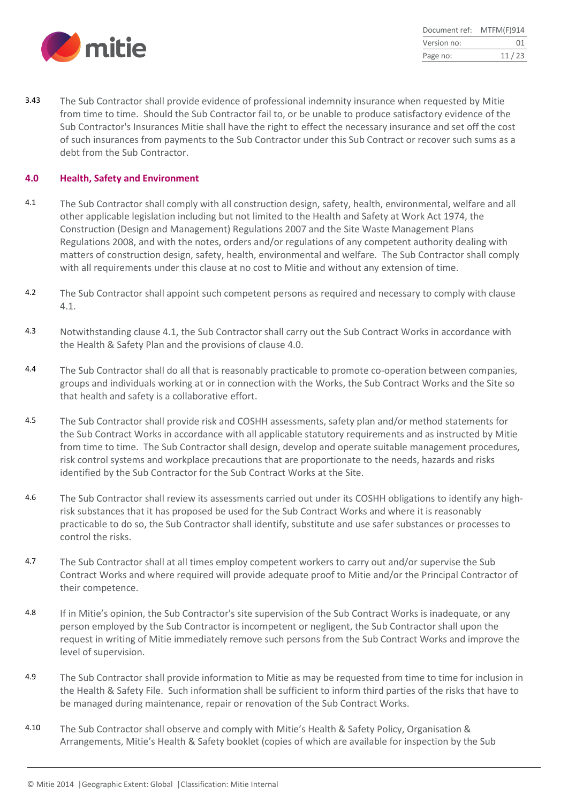

| Document ref: | MTFM(F)914 |
|---------------|------------|
| Version no:   | 01         |
| Page no:      | 11/23      |

3.43 The Sub Contractor shall provide evidence of professional indemnity insurance when requested by Mitie from time to time. Should the Sub Contractor fail to, or be unable to produce satisfactory evidence of the Sub Contractor's Insurances Mitie shall have the right to effect the necessary insurance and set off the cost of such insurances from payments to the Sub Contractor under this Sub Contract or recover such sums as a debt from the Sub Contractor.

#### **4.0 Health, Safety and Environment**

- 4.1 The Sub Contractor shall comply with all construction design, safety, health, environmental, welfare and all other applicable legislation including but not limited to the Health and Safety at Work Act 1974, the Construction (Design and Management) Regulations 2007 and the Site Waste Management Plans Regulations 2008, and with the notes, orders and/or regulations of any competent authority dealing with matters of construction design, safety, health, environmental and welfare. The Sub Contractor shall comply with all requirements under this clause at no cost to Mitie and without any extension of time.
- 4.2 The Sub Contractor shall appoint such competent persons as required and necessary to comply with clause 4.1.
- 4.3 Notwithstanding clause 4.1, the Sub Contractor shall carry out the Sub Contract Works in accordance with the Health & Safety Plan and the provisions of clause 4.0.
- 4.4 The Sub Contractor shall do all that is reasonably practicable to promote co-operation between companies, groups and individuals working at or in connection with the Works, the Sub Contract Works and the Site so that health and safety is a collaborative effort.
- 4.5 The Sub Contractor shall provide risk and COSHH assessments, safety plan and/or method statements for the Sub Contract Works in accordance with all applicable statutory requirements and as instructed by Mitie from time to time. The Sub Contractor shall design, develop and operate suitable management procedures, risk control systems and workplace precautions that are proportionate to the needs, hazards and risks identified by the Sub Contractor for the Sub Contract Works at the Site.
- 4.6 The Sub Contractor shall review its assessments carried out under its COSHH obligations to identify any highrisk substances that it has proposed be used for the Sub Contract Works and where it is reasonably practicable to do so, the Sub Contractor shall identify, substitute and use safer substances or processes to control the risks.
- 4.7 The Sub Contractor shall at all times employ competent workers to carry out and/or supervise the Sub Contract Works and where required will provide adequate proof to Mitie and/or the Principal Contractor of their competence.
- 4.8 If in Mitie's opinion, the Sub Contractor's site supervision of the Sub Contract Works is inadequate, or any person employed by the Sub Contractor is incompetent or negligent, the Sub Contractor shall upon the request in writing of Mitie immediately remove such persons from the Sub Contract Works and improve the level of supervision.
- 4.9 The Sub Contractor shall provide information to Mitie as may be requested from time to time for inclusion in the Health & Safety File. Such information shall be sufficient to inform third parties of the risks that have to be managed during maintenance, repair or renovation of the Sub Contract Works.
- 4.10 The Sub Contractor shall observe and comply with Mitie's Health & Safety Policy, Organisation & Arrangements, Mitie's Health & Safety booklet (copies of which are available for inspection by the Sub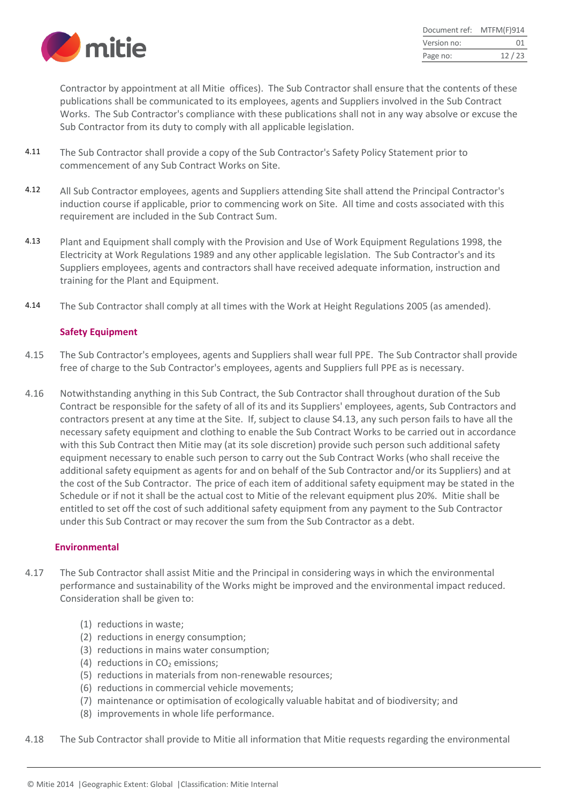

| Document ref: | MTFM(F)914 |
|---------------|------------|
| Version no:   | 01         |
| Page no:      | 12/23      |

Contractor by appointment at all Mitie offices). The Sub Contractor shall ensure that the contents of these publications shall be communicated to its employees, agents and Suppliers involved in the Sub Contract Works. The Sub Contractor's compliance with these publications shall not in any way absolve or excuse the Sub Contractor from its duty to comply with all applicable legislation.

- 4.11 The Sub Contractor shall provide a copy of the Sub Contractor's Safety Policy Statement prior to commencement of any Sub Contract Works on Site.
- 4.12 All Sub Contractor employees, agents and Suppliers attending Site shall attend the Principal Contractor's induction course if applicable, prior to commencing work on Site. All time and costs associated with this requirement are included in the Sub Contract Sum.
- 4.13 Plant and Equipment shall comply with the Provision and Use of Work Equipment Regulations 1998, the Electricity at Work Regulations 1989 and any other applicable legislation. The Sub Contractor's and its Suppliers employees, agents and contractors shall have received adequate information, instruction and training for the Plant and Equipment.
- 4.14 The Sub Contractor shall comply at all times with the Work at Height Regulations 2005 (as amended).

#### **Safety Equipment**

- 4.15 The Sub Contractor's employees, agents and Suppliers shall wear full PPE. The Sub Contractor shall provide free of charge to the Sub Contractor's employees, agents and Suppliers full PPE as is necessary.
- 4.16 Notwithstanding anything in this Sub Contract, the Sub Contractor shall throughout duration of the Sub Contract be responsible for the safety of all of its and its Suppliers' employees, agents, Sub Contractors and contractors present at any time at the Site. If, subject to clause S4.13, any such person fails to have all the necessary safety equipment and clothing to enable the Sub Contract Works to be carried out in accordance with this Sub Contract then Mitie may (at its sole discretion) provide such person such additional safety equipment necessary to enable such person to carry out the Sub Contract Works (who shall receive the additional safety equipment as agents for and on behalf of the Sub Contractor and/or its Suppliers) and at the cost of the Sub Contractor. The price of each item of additional safety equipment may be stated in the Schedule or if not it shall be the actual cost to Mitie of the relevant equipment plus 20%. Mitie shall be entitled to set off the cost of such additional safety equipment from any payment to the Sub Contractor under this Sub Contract or may recover the sum from the Sub Contractor as a debt.

#### **Environmental**

- 4.17 The Sub Contractor shall assist Mitie and the Principal in considering ways in which the environmental performance and sustainability of the Works might be improved and the environmental impact reduced. Consideration shall be given to:
	- (1) reductions in waste;
	- (2) reductions in energy consumption;
	- (3) reductions in mains water consumption;
	- (4) reductions in  $CO<sub>2</sub>$  emissions;
	- (5) reductions in materials from non-renewable resources;
	- (6) reductions in commercial vehicle movements;
	- (7) maintenance or optimisation of ecologically valuable habitat and of biodiversity; and
	- (8) improvements in whole life performance.

4.18 The Sub Contractor shall provide to Mitie all information that Mitie requests regarding the environmental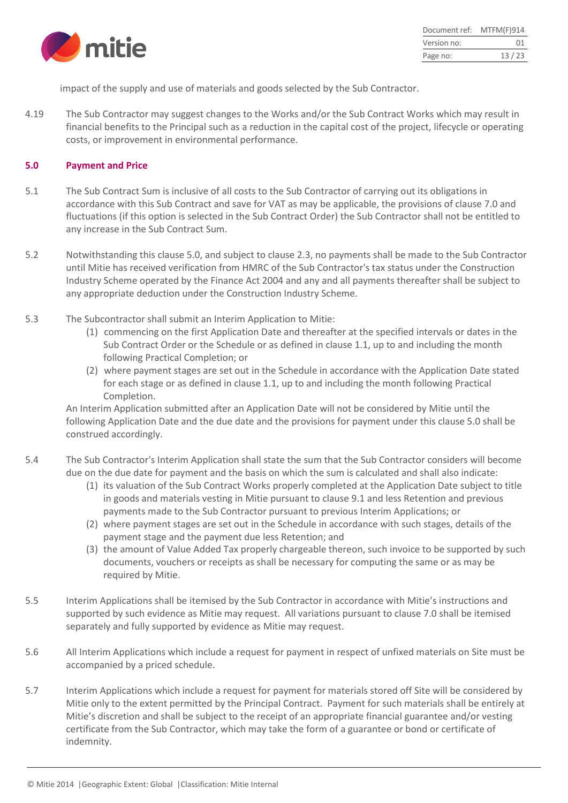

impact of the supply and use of materials and goods selected by the Sub Contractor.

4.19 The Sub Contractor may suggest changes to the Works and/or the Sub Contract Works which may result in financial benefits to the Principal such as a reduction in the capital cost of the project, lifecycle or operating costs, or improvement in environmental performance.

#### **5.0 Payment and Price**

- 5.1 The Sub Contract Sum is inclusive of all costs to the Sub Contractor of carrying out its obligations in accordance with this Sub Contract and save for VAT as may be applicable, the provisions of clause 7.0 and fluctuations (if this option is selected in the Sub Contract Order) the Sub Contractor shall not be entitled to any increase in the Sub Contract Sum.
- 5.2 Notwithstanding this clause 5.0, and subject to clause 2.3, no payments shall be made to the Sub Contractor until Mitie has received verification from HMRC of the Sub Contractor's tax status under the Construction Industry Scheme operated by the Finance Act 2004 and any and all payments thereafter shall be subject to any appropriate deduction under the Construction Industry Scheme.
- 5.3 The Subcontractor shall submit an Interim Application to Mitie:
	- (1) commencing on the first Application Date and thereafter at the specified intervals or dates in the Sub Contract Order or the Schedule or as defined in clause 1.1, up to and including the month following Practical Completion; or
	- (2) where payment stages are set out in the Schedule in accordance with the Application Date stated for each stage or as defined in clause 1.1, up to and including the month following Practical Completion.

An Interim Application submitted after an Application Date will not be considered by Mitie until the following Application Date and the due date and the provisions for payment under this clause 5.0 shall be construed accordingly.

- 5.4 The Sub Contractor's Interim Application shall state the sum that the Sub Contractor considers will become due on the due date for payment and the basis on which the sum is calculated and shall also indicate:
	- (1) its valuation of the Sub Contract Works properly completed at the Application Date subject to title in goods and materials vesting in Mitie pursuant to clause 9.1 and less Retention and previous payments made to the Sub Contractor pursuant to previous Interim Applications; or
	- (2) where payment stages are set out in the Schedule in accordance with such stages, details of the payment stage and the payment due less Retention; and
	- (3) the amount of Value Added Tax properly chargeable thereon, such invoice to be supported by such documents, vouchers or receipts as shall be necessary for computing the same or as may be required by Mitie.
- 5.5 Interim Applications shall be itemised by the Sub Contractor in accordance with Mitie's instructions and supported by such evidence as Mitie may request. All variations pursuant to clause 7.0 shall be itemised separately and fully supported by evidence as Mitie may request.
- 5.6 All Interim Applications which include a request for payment in respect of unfixed materials on Site must be accompanied by a priced schedule.
- 5.7 Interim Applications which include a request for payment for materials stored off Site will be considered by Mitie only to the extent permitted by the Principal Contract. Payment for such materials shall be entirely at Mitie's discretion and shall be subject to the receipt of an appropriate financial guarantee and/or vesting certificate from the Sub Contractor, which may take the form of a guarantee or bond or certificate of indemnity.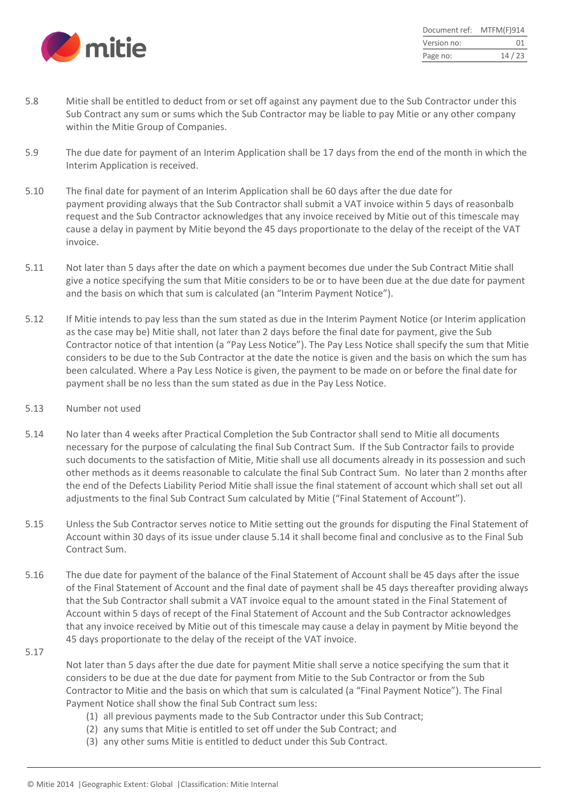

| Document ref: | MTFM(F)914 |
|---------------|------------|
| Version no:   | 01         |
| Page no:      | 14/23      |

- 5.8 Mitie shall be entitled to deduct from or set off against any payment due to the Sub Contractor under this Sub Contract any sum or sums which the Sub Contractor may be liable to pay Mitie or any other company within the Mitie Group of Companies.
- 5.9 The due date for payment of an Interim Application shall be 17 days from the end of the month in which the Interim Application is received.
- 5.10 The final date for payment of an Interim Application shall be 60 days after the due date for payment providing always that the Sub Contractor shall submit a VAT invoice within 5 days of reasonbalb request and the Sub Contractor acknowledges that any invoice received by Mitie out of this timescale may cause a delay in payment by Mitie beyond the 45 days proportionate to the delay of the receipt of the VAT invoice.
- 5.11 Not later than 5 days after the date on which a payment becomes due under the Sub Contract Mitie shall give a notice specifying the sum that Mitie considers to be or to have been due at the due date for payment and the basis on which that sum is calculated (an "Interim Payment Notice").
- 5.12 If Mitie intends to pay less than the sum stated as due in the Interim Payment Notice (or Interim application as the case may be) Mitie shall, not later than 2 days before the final date for payment, give the Sub Contractor notice of that intention (a "Pay Less Notice"). The Pay Less Notice shall specify the sum that Mitie considers to be due to the Sub Contractor at the date the notice is given and the basis on which the sum has been calculated. Where a Pay Less Notice is given, the payment to be made on or before the final date for payment shall be no less than the sum stated as due in the Pay Less Notice.
- 5.13 Number not used
- 5.14 No later than 4 weeks after Practical Completion the Sub Contractor shall send to Mitie all documents necessary for the purpose of calculating the final Sub Contract Sum. If the Sub Contractor fails to provide such documents to the satisfaction of Mitie, Mitie shall use all documents already in its possession and such other methods as it deems reasonable to calculate the final Sub Contract Sum. No later than 2 months after the end of the Defects Liability Period Mitie shall issue the final statement of account which shall set out all adjustments to the final Sub Contract Sum calculated by Mitie ("Final Statement of Account").
- 5.15 Unless the Sub Contractor serves notice to Mitie setting out the grounds for disputing the Final Statement of Account within 30 days of its issue under clause 5.14 it shall become final and conclusive as to the Final Sub Contract Sum.
- 5.16 The due date for payment of the balance of the Final Statement of Account shall be 45 days after the issue of the Final Statement of Account and the final date of payment shall be 45 days thereafter providing always that the Sub Contractor shall submit a VAT invoice equal to the amount stated in the Final Statement of Account within 5 days of recept of the Final Statement of Account and the Sub Contractor acknowledges that any invoice received by Mitie out of this timescale may cause a delay in payment by Mitie beyond the 45 days proportionate to the delay of the receipt of the VAT invoice.
- 5.17

Not later than 5 days after the due date for payment Mitie shall serve a notice specifying the sum that it considers to be due at the due date for payment from Mitie to the Sub Contractor or from the Sub Contractor to Mitie and the basis on which that sum is calculated (a "Final Payment Notice"). The Final Payment Notice shall show the final Sub Contract sum less:

- (1) all previous payments made to the Sub Contractor under this Sub Contract;
- (2) any sums that Mitie is entitled to set off under the Sub Contract; and
- (3) any other sums Mitie is entitled to deduct under this Sub Contract.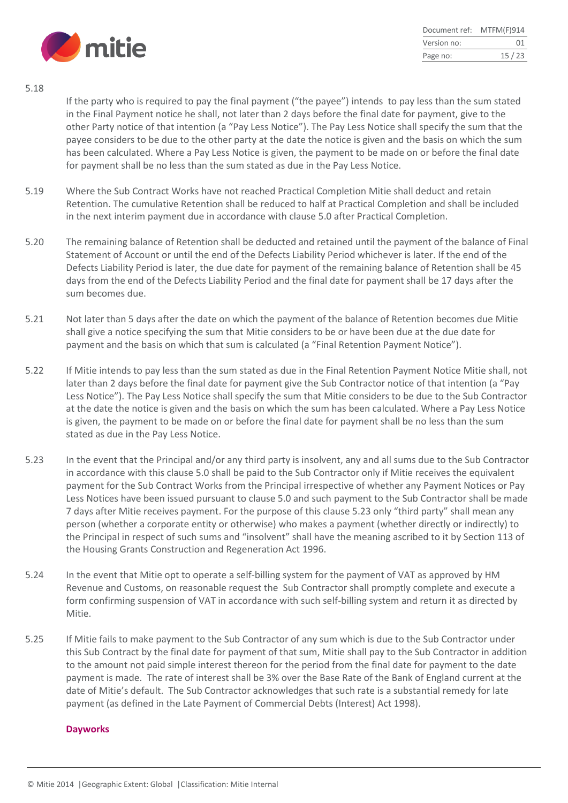

| Document ref: | MTFM(F)914 |
|---------------|------------|
| Version no:   | 01         |
| Page no:      | 15/23      |

5.18

If the party who is required to pay the final payment ("the payee") intends to pay less than the sum stated in the Final Payment notice he shall, not later than 2 days before the final date for payment, give to the other Party notice of that intention (a "Pay Less Notice"). The Pay Less Notice shall specify the sum that the payee considers to be due to the other party at the date the notice is given and the basis on which the sum has been calculated. Where a Pay Less Notice is given, the payment to be made on or before the final date for payment shall be no less than the sum stated as due in the Pay Less Notice.

- 5.19 Where the Sub Contract Works have not reached Practical Completion Mitie shall deduct and retain Retention. The cumulative Retention shall be reduced to half at Practical Completion and shall be included in the next interim payment due in accordance with clause 5.0 after Practical Completion.
- 5.20 The remaining balance of Retention shall be deducted and retained until the payment of the balance of Final Statement of Account or until the end of the Defects Liability Period whichever is later. If the end of the Defects Liability Period is later, the due date for payment of the remaining balance of Retention shall be 45 days from the end of the Defects Liability Period and the final date for payment shall be 17 days after the sum becomes due.
- 5.21 Not later than 5 days after the date on which the payment of the balance of Retention becomes due Mitie shall give a notice specifying the sum that Mitie considers to be or have been due at the due date for payment and the basis on which that sum is calculated (a "Final Retention Payment Notice").
- 5.22 If Mitie intends to pay less than the sum stated as due in the Final Retention Payment Notice Mitie shall, not later than 2 days before the final date for payment give the Sub Contractor notice of that intention (a "Pay Less Notice"). The Pay Less Notice shall specify the sum that Mitie considers to be due to the Sub Contractor at the date the notice is given and the basis on which the sum has been calculated. Where a Pay Less Notice is given, the payment to be made on or before the final date for payment shall be no less than the sum stated as due in the Pay Less Notice.
- 5.23 In the event that the Principal and/or any third party is insolvent, any and all sums due to the Sub Contractor in accordance with this clause 5.0 shall be paid to the Sub Contractor only if Mitie receives the equivalent payment for the Sub Contract Works from the Principal irrespective of whether any Payment Notices or Pay Less Notices have been issued pursuant to clause 5.0 and such payment to the Sub Contractor shall be made 7 days after Mitie receives payment. For the purpose of this clause 5.23 only "third party" shall mean any person (whether a corporate entity or otherwise) who makes a payment (whether directly or indirectly) to the Principal in respect of such sums and "insolvent" shall have the meaning ascribed to it by Section 113 of the Housing Grants Construction and Regeneration Act 1996.
- 5.24 In the event that Mitie opt to operate a self-billing system for the payment of VAT as approved by HM Revenue and Customs, on reasonable request the Sub Contractor shall promptly complete and execute a form confirming suspension of VAT in accordance with such self-billing system and return it as directed by Mitie.
- 5.25 If Mitie fails to make payment to the Sub Contractor of any sum which is due to the Sub Contractor under this Sub Contract by the final date for payment of that sum, Mitie shall pay to the Sub Contractor in addition to the amount not paid simple interest thereon for the period from the final date for payment to the date payment is made. The rate of interest shall be 3% over the Base Rate of the Bank of England current at the date of Mitie's default. The Sub Contractor acknowledges that such rate is a substantial remedy for late payment (as defined in the Late Payment of Commercial Debts (Interest) Act 1998).

#### **Dayworks**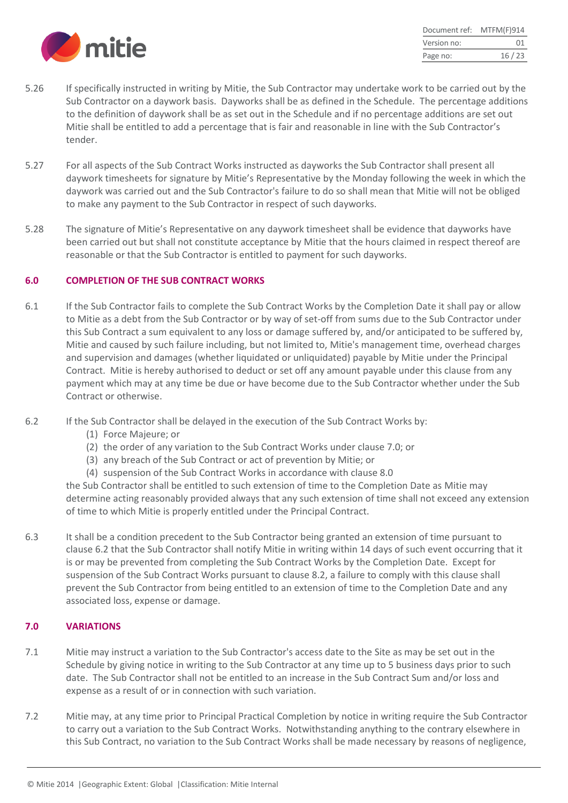

| Document ref: | MTFM(F)914 |
|---------------|------------|
| Version no:   | 01         |
| Page no:      | 16/23      |

- 5.26 If specifically instructed in writing by Mitie, the Sub Contractor may undertake work to be carried out by the Sub Contractor on a daywork basis. Dayworks shall be as defined in the Schedule. The percentage additions to the definition of daywork shall be as set out in the Schedule and if no percentage additions are set out Mitie shall be entitled to add a percentage that is fair and reasonable in line with the Sub Contractor's tender.
- 5.27 For all aspects of the Sub Contract Works instructed as dayworks the Sub Contractor shall present all daywork timesheets for signature by Mitie's Representative by the Monday following the week in which the daywork was carried out and the Sub Contractor's failure to do so shall mean that Mitie will not be obliged to make any payment to the Sub Contractor in respect of such dayworks.
- 5.28 The signature of Mitie's Representative on any daywork timesheet shall be evidence that dayworks have been carried out but shall not constitute acceptance by Mitie that the hours claimed in respect thereof are reasonable or that the Sub Contractor is entitled to payment for such dayworks.

#### **6.0 COMPLETION OF THE SUB CONTRACT WORKS**

- 6.1 If the Sub Contractor fails to complete the Sub Contract Works by the Completion Date it shall pay or allow to Mitie as a debt from the Sub Contractor or by way of set-off from sums due to the Sub Contractor under this Sub Contract a sum equivalent to any loss or damage suffered by, and/or anticipated to be suffered by, Mitie and caused by such failure including, but not limited to, Mitie's management time, overhead charges and supervision and damages (whether liquidated or unliquidated) payable by Mitie under the Principal Contract. Mitie is hereby authorised to deduct or set off any amount payable under this clause from any payment which may at any time be due or have become due to the Sub Contractor whether under the Sub Contract or otherwise.
- 6.2 If the Sub Contractor shall be delayed in the execution of the Sub Contract Works by:
	- (1) Force Majeure; or
	- (2) the order of any variation to the Sub Contract Works under clause 7.0; or
	- (3) any breach of the Sub Contract or act of prevention by Mitie; or
	- (4) suspension of the Sub Contract Works in accordance with clause 8.0

the Sub Contractor shall be entitled to such extension of time to the Completion Date as Mitie may determine acting reasonably provided always that any such extension of time shall not exceed any extension of time to which Mitie is properly entitled under the Principal Contract.

6.3 It shall be a condition precedent to the Sub Contractor being granted an extension of time pursuant to clause 6.2 that the Sub Contractor shall notify Mitie in writing within 14 days of such event occurring that it is or may be prevented from completing the Sub Contract Works by the Completion Date. Except for suspension of the Sub Contract Works pursuant to clause 8.2, a failure to comply with this clause shall prevent the Sub Contractor from being entitled to an extension of time to the Completion Date and any associated loss, expense or damage.

#### **7.0 VARIATIONS**

- 7.1 Mitie may instruct a variation to the Sub Contractor's access date to the Site as may be set out in the Schedule by giving notice in writing to the Sub Contractor at any time up to 5 business days prior to such date. The Sub Contractor shall not be entitled to an increase in the Sub Contract Sum and/or loss and expense as a result of or in connection with such variation.
- 7.2 Mitie may, at any time prior to Principal Practical Completion by notice in writing require the Sub Contractor to carry out a variation to the Sub Contract Works. Notwithstanding anything to the contrary elsewhere in this Sub Contract, no variation to the Sub Contract Works shall be made necessary by reasons of negligence,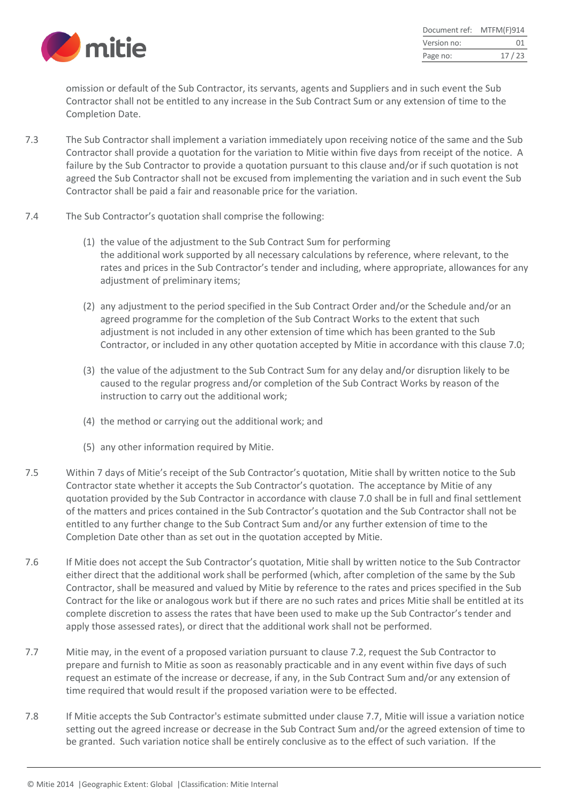

| Document ref: | MTFM(F)914 |
|---------------|------------|
| Version no:   | 01         |
| Page no:      | 17/23      |

omission or default of the Sub Contractor, its servants, agents and Suppliers and in such event the Sub Contractor shall not be entitled to any increase in the Sub Contract Sum or any extension of time to the Completion Date.

- 7.3 The Sub Contractor shall implement a variation immediately upon receiving notice of the same and the Sub Contractor shall provide a quotation for the variation to Mitie within five days from receipt of the notice. A failure by the Sub Contractor to provide a quotation pursuant to this clause and/or if such quotation is not agreed the Sub Contractor shall not be excused from implementing the variation and in such event the Sub Contractor shall be paid a fair and reasonable price for the variation.
- 7.4 The Sub Contractor's quotation shall comprise the following:
	- (1) the value of the adjustment to the Sub Contract Sum for performing the additional work supported by all necessary calculations by reference, where relevant, to the rates and prices in the Sub Contractor's tender and including, where appropriate, allowances for any adiustment of preliminary items;
	- (2) any adjustment to the period specified in the Sub Contract Order and/or the Schedule and/or an agreed programme for the completion of the Sub Contract Works to the extent that such adjustment is not included in any other extension of time which has been granted to the Sub Contractor, or included in any other quotation accepted by Mitie in accordance with this clause 7.0;
	- (3) the value of the adjustment to the Sub Contract Sum for any delay and/or disruption likely to be caused to the regular progress and/or completion of the Sub Contract Works by reason of the instruction to carry out the additional work;
	- (4) the method or carrying out the additional work; and
	- (5) any other information required by Mitie.
- 7.5 Within 7 days of Mitie's receipt of the Sub Contractor's quotation, Mitie shall by written notice to the Sub Contractor state whether it accepts the Sub Contractor's quotation. The acceptance by Mitie of any quotation provided by the Sub Contractor in accordance with clause 7.0 shall be in full and final settlement of the matters and prices contained in the Sub Contractor's quotation and the Sub Contractor shall not be entitled to any further change to the Sub Contract Sum and/or any further extension of time to the Completion Date other than as set out in the quotation accepted by Mitie.
- 7.6 If Mitie does not accept the Sub Contractor's quotation, Mitie shall by written notice to the Sub Contractor either direct that the additional work shall be performed (which, after completion of the same by the Sub Contractor, shall be measured and valued by Mitie by reference to the rates and prices specified in the Sub Contract for the like or analogous work but if there are no such rates and prices Mitie shall be entitled at its complete discretion to assess the rates that have been used to make up the Sub Contractor's tender and apply those assessed rates), or direct that the additional work shall not be performed.
- 7.7 Mitie may, in the event of a proposed variation pursuant to clause 7.2, request the Sub Contractor to prepare and furnish to Mitie as soon as reasonably practicable and in any event within five days of such request an estimate of the increase or decrease, if any, in the Sub Contract Sum and/or any extension of time required that would result if the proposed variation were to be effected.
- 7.8 If Mitie accepts the Sub Contractor's estimate submitted under clause 7.7, Mitie will issue a variation notice setting out the agreed increase or decrease in the Sub Contract Sum and/or the agreed extension of time to be granted. Such variation notice shall be entirely conclusive as to the effect of such variation. If the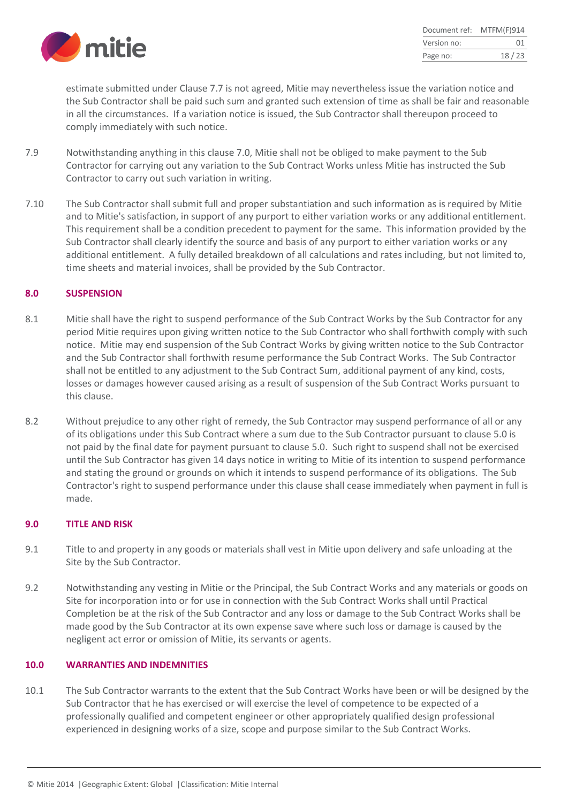

| Document ref: | MTFM(F)914 |
|---------------|------------|
| Version no:   | 01         |
| Page no:      | 18/23      |

estimate submitted under Clause 7.7 is not agreed, Mitie may nevertheless issue the variation notice and the Sub Contractor shall be paid such sum and granted such extension of time as shall be fair and reasonable in all the circumstances. If a variation notice is issued, the Sub Contractor shall thereupon proceed to comply immediately with such notice.

- 7.9 Notwithstanding anything in this clause 7.0, Mitie shall not be obliged to make payment to the Sub Contractor for carrying out any variation to the Sub Contract Works unless Mitie has instructed the Sub Contractor to carry out such variation in writing.
- 7.10 The Sub Contractor shall submit full and proper substantiation and such information as is required by Mitie and to Mitie's satisfaction, in support of any purport to either variation works or any additional entitlement. This requirement shall be a condition precedent to payment for the same. This information provided by the Sub Contractor shall clearly identify the source and basis of any purport to either variation works or any additional entitlement. A fully detailed breakdown of all calculations and rates including, but not limited to, time sheets and material invoices, shall be provided by the Sub Contractor.

#### **8.0 SUSPENSION**

- 8.1 Mitie shall have the right to suspend performance of the Sub Contract Works by the Sub Contractor for any period Mitie requires upon giving written notice to the Sub Contractor who shall forthwith comply with such notice. Mitie may end suspension of the Sub Contract Works by giving written notice to the Sub Contractor and the Sub Contractor shall forthwith resume performance the Sub Contract Works. The Sub Contractor shall not be entitled to any adjustment to the Sub Contract Sum, additional payment of any kind, costs, losses or damages however caused arising as a result of suspension of the Sub Contract Works pursuant to this clause.
- 8.2 Without prejudice to any other right of remedy, the Sub Contractor may suspend performance of all or any of its obligations under this Sub Contract where a sum due to the Sub Contractor pursuant to clause 5.0 is not paid by the final date for payment pursuant to clause 5.0. Such right to suspend shall not be exercised until the Sub Contractor has given 14 days notice in writing to Mitie of its intention to suspend performance and stating the ground or grounds on which it intends to suspend performance of its obligations. The Sub Contractor's right to suspend performance under this clause shall cease immediately when payment in full is made.

#### **9.0 TITLE AND RISK**

- 9.1 Title to and property in any goods or materials shall vest in Mitie upon delivery and safe unloading at the Site by the Sub Contractor.
- 9.2 Notwithstanding any vesting in Mitie or the Principal, the Sub Contract Works and any materials or goods on Site for incorporation into or for use in connection with the Sub Contract Works shall until Practical Completion be at the risk of the Sub Contractor and any loss or damage to the Sub Contract Works shall be made good by the Sub Contractor at its own expense save where such loss or damage is caused by the negligent act error or omission of Mitie, its servants or agents.

#### **10.0 WARRANTIES AND INDEMNITIES**

10.1 The Sub Contractor warrants to the extent that the Sub Contract Works have been or will be designed by the Sub Contractor that he has exercised or will exercise the level of competence to be expected of a professionally qualified and competent engineer or other appropriately qualified design professional experienced in designing works of a size, scope and purpose similar to the Sub Contract Works.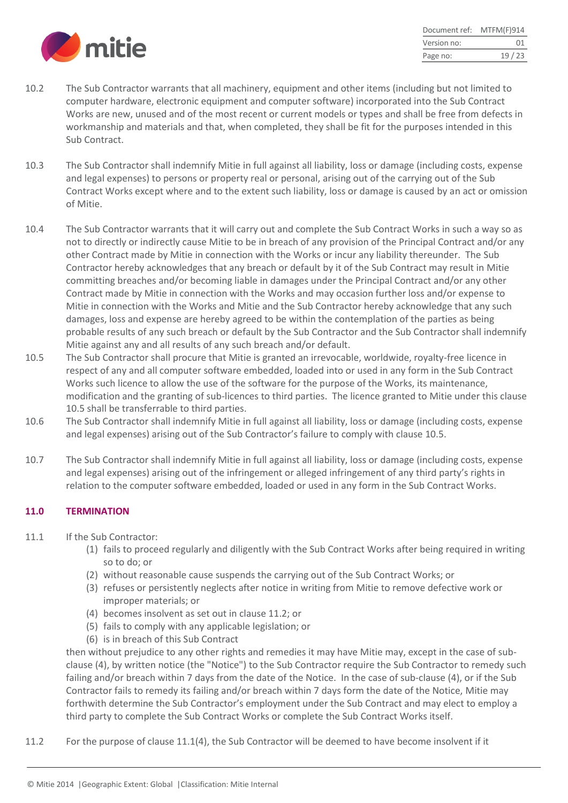

| Document ref: | MTFM(F)914 |
|---------------|------------|
| Version no:   | 01         |
| Page no:      | 19/23      |

- 10.2 The Sub Contractor warrants that all machinery, equipment and other items (including but not limited to computer hardware, electronic equipment and computer software) incorporated into the Sub Contract Works are new, unused and of the most recent or current models or types and shall be free from defects in workmanship and materials and that, when completed, they shall be fit for the purposes intended in this Sub Contract.
- 10.3 The Sub Contractor shall indemnify Mitie in full against all liability, loss or damage (including costs, expense and legal expenses) to persons or property real or personal, arising out of the carrying out of the Sub Contract Works except where and to the extent such liability, loss or damage is caused by an act or omission of Mitie.
- 10.4 The Sub Contractor warrants that it will carry out and complete the Sub Contract Works in such a way so as not to directly or indirectly cause Mitie to be in breach of any provision of the Principal Contract and/or any other Contract made by Mitie in connection with the Works or incur any liability thereunder. The Sub Contractor hereby acknowledges that any breach or default by it of the Sub Contract may result in Mitie committing breaches and/or becoming liable in damages under the Principal Contract and/or any other Contract made by Mitie in connection with the Works and may occasion further loss and/or expense to Mitie in connection with the Works and Mitie and the Sub Contractor hereby acknowledge that any such damages, loss and expense are hereby agreed to be within the contemplation of the parties as being probable results of any such breach or default by the Sub Contractor and the Sub Contractor shall indemnify Mitie against any and all results of any such breach and/or default.
- 10.5 The Sub Contractor shall procure that Mitie is granted an irrevocable, worldwide, royalty-free licence in respect of any and all computer software embedded, loaded into or used in any form in the Sub Contract Works such licence to allow the use of the software for the purpose of the Works, its maintenance, modification and the granting of sub-licences to third parties. The licence granted to Mitie under this clause 10.5 shall be transferrable to third parties.
- 10.6 The Sub Contractor shall indemnify Mitie in full against all liability, loss or damage (including costs, expense and legal expenses) arising out of the Sub Contractor's failure to comply with clause 10.5.
- 10.7 The Sub Contractor shall indemnify Mitie in full against all liability, loss or damage (including costs, expense and legal expenses) arising out of the infringement or alleged infringement of any third party's rights in relation to the computer software embedded, loaded or used in any form in the Sub Contract Works.

## **11.0 TERMINATION**

- 11.1 If the Sub Contractor:
	- (1) fails to proceed regularly and diligently with the Sub Contract Works after being required in writing so to do; or
	- (2) without reasonable cause suspends the carrying out of the Sub Contract Works; or
	- (3) refuses or persistently neglects after notice in writing from Mitie to remove defective work or improper materials; or
	- (4) becomes insolvent as set out in clause 11.2; or
	- (5) fails to comply with any applicable legislation; or
	- (6) is in breach of this Sub Contract

then without prejudice to any other rights and remedies it may have Mitie may, except in the case of subclause (4), by written notice (the "Notice") to the Sub Contractor require the Sub Contractor to remedy such failing and/or breach within 7 days from the date of the Notice. In the case of sub-clause (4), or if the Sub Contractor fails to remedy its failing and/or breach within 7 days form the date of the Notice, Mitie may forthwith determine the Sub Contractor's employment under the Sub Contract and may elect to employ a third party to complete the Sub Contract Works or complete the Sub Contract Works itself.

11.2 For the purpose of clause 11.1(4), the Sub Contractor will be deemed to have become insolvent if it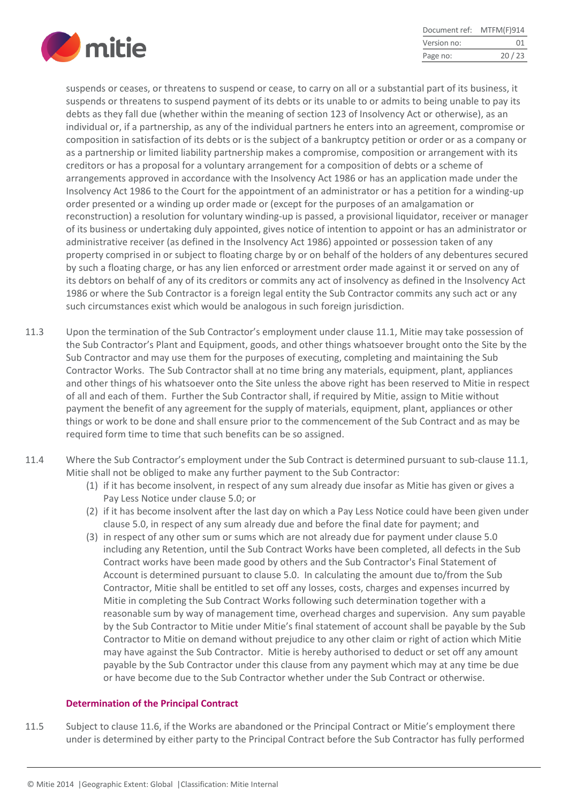

| Document ref: | MTFM(F)914 |
|---------------|------------|
| Version no:   | 01         |
| Page no:      | 20/23      |

suspends or ceases, or threatens to suspend or cease, to carry on all or a substantial part of its business, it suspends or threatens to suspend payment of its debts or its unable to or admits to being unable to pay its debts as they fall due (whether within the meaning of section 123 of Insolvency Act or otherwise), as an individual or, if a partnership, as any of the individual partners he enters into an agreement, compromise or composition in satisfaction of its debts or is the subject of a bankruptcy petition or order or as a company or as a partnership or limited liability partnership makes a compromise, composition or arrangement with its creditors or has a proposal for a voluntary arrangement for a composition of debts or a scheme of arrangements approved in accordance with the Insolvency Act 1986 or has an application made under the Insolvency Act 1986 to the Court for the appointment of an administrator or has a petition for a winding-up order presented or a winding up order made or (except for the purposes of an amalgamation or reconstruction) a resolution for voluntary winding-up is passed, a provisional liquidator, receiver or manager of its business or undertaking duly appointed, gives notice of intention to appoint or has an administrator or administrative receiver (as defined in the Insolvency Act 1986) appointed or possession taken of any property comprised in or subject to floating charge by or on behalf of the holders of any debentures secured by such a floating charge, or has any lien enforced or arrestment order made against it or served on any of its debtors on behalf of any of its creditors or commits any act of insolvency as defined in the Insolvency Act 1986 or where the Sub Contractor is a foreign legal entity the Sub Contractor commits any such act or any such circumstances exist which would be analogous in such foreign jurisdiction.

- 11.3 Upon the termination of the Sub Contractor's employment under clause 11.1, Mitie may take possession of the Sub Contractor's Plant and Equipment, goods, and other things whatsoever brought onto the Site by the Sub Contractor and may use them for the purposes of executing, completing and maintaining the Sub Contractor Works. The Sub Contractor shall at no time bring any materials, equipment, plant, appliances and other things of his whatsoever onto the Site unless the above right has been reserved to Mitie in respect of all and each of them. Further the Sub Contractor shall, if required by Mitie, assign to Mitie without payment the benefit of any agreement for the supply of materials, equipment, plant, appliances or other things or work to be done and shall ensure prior to the commencement of the Sub Contract and as may be required form time to time that such benefits can be so assigned.
- 11.4 Where the Sub Contractor's employment under the Sub Contract is determined pursuant to sub-clause 11.1, Mitie shall not be obliged to make any further payment to the Sub Contractor:
	- (1) if it has become insolvent, in respect of any sum already due insofar as Mitie has given or gives a Pay Less Notice under clause 5.0; or
	- (2) if it has become insolvent after the last day on which a Pay Less Notice could have been given under clause 5.0, in respect of any sum already due and before the final date for payment; and
	- (3) in respect of any other sum or sums which are not already due for payment under clause 5.0 including any Retention, until the Sub Contract Works have been completed, all defects in the Sub Contract works have been made good by others and the Sub Contractor's Final Statement of Account is determined pursuant to clause 5.0. In calculating the amount due to/from the Sub Contractor, Mitie shall be entitled to set off any losses, costs, charges and expenses incurred by Mitie in completing the Sub Contract Works following such determination together with a reasonable sum by way of management time, overhead charges and supervision. Any sum payable by the Sub Contractor to Mitie under Mitie's final statement of account shall be payable by the Sub Contractor to Mitie on demand without prejudice to any other claim or right of action which Mitie may have against the Sub Contractor. Mitie is hereby authorised to deduct or set off any amount payable by the Sub Contractor under this clause from any payment which may at any time be due or have become due to the Sub Contractor whether under the Sub Contract or otherwise.

#### **Determination of the Principal Contract**

11.5 Subject to clause 11.6, if the Works are abandoned or the Principal Contract or Mitie's employment there under is determined by either party to the Principal Contract before the Sub Contractor has fully performed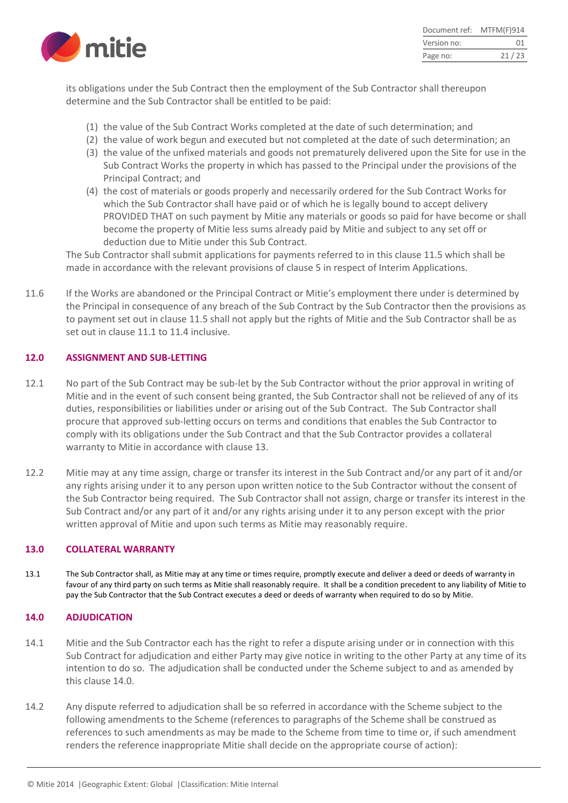

| Document ref: | MTFM(F)914 |
|---------------|------------|
| Version no:   | 01         |
| Page no:      | 21/23      |

its obligations under the Sub Contract then the employment of the Sub Contractor shall thereupon determine and the Sub Contractor shall be entitled to be paid:

- (1) the value of the Sub Contract Works completed at the date of such determination; and
- (2) the value of work begun and executed but not completed at the date of such determination; an
- (3) the value of the unfixed materials and goods not prematurely delivered upon the Site for use in the Sub Contract Works the property in which has passed to the Principal under the provisions of the Principal Contract; and
- (4) the cost of materials or goods properly and necessarily ordered for the Sub Contract Works for which the Sub Contractor shall have paid or of which he is legally bound to accept delivery PROVIDED THAT on such payment by Mitie any materials or goods so paid for have become or shall become the property of Mitie less sums already paid by Mitie and subject to any set off or deduction due to Mitie under this Sub Contract.

The Sub Contractor shall submit applications for payments referred to in this clause 11.5 which shall be made in accordance with the relevant provisions of clause 5 in respect of Interim Applications.

11.6 If the Works are abandoned or the Principal Contract or Mitie's employment there under is determined by the Principal in consequence of any breach of the Sub Contract by the Sub Contractor then the provisions as to payment set out in clause 11.5 shall not apply but the rights of Mitie and the Sub Contractor shall be as set out in clause 11.1 to 11.4 inclusive.

#### **12.0 ASSIGNMENT AND SUB-LETTING**

- 12.1 No part of the Sub Contract may be sub-let by the Sub Contractor without the prior approval in writing of Mitie and in the event of such consent being granted, the Sub Contractor shall not be relieved of any of its duties, responsibilities or liabilities under or arising out of the Sub Contract. The Sub Contractor shall procure that approved sub-letting occurs on terms and conditions that enables the Sub Contractor to comply with its obligations under the Sub Contract and that the Sub Contractor provides a collateral warranty to Mitie in accordance with clause 13.
- 12.2 Mitie may at any time assign, charge or transfer its interest in the Sub Contract and/or any part of it and/or any rights arising under it to any person upon written notice to the Sub Contractor without the consent of the Sub Contractor being required. The Sub Contractor shall not assign, charge or transfer its interest in the Sub Contract and/or any part of it and/or any rights arising under it to any person except with the prior written approval of Mitie and upon such terms as Mitie may reasonably require.

#### **13.0 COLLATERAL WARRANTY**

13.1 The Sub Contractor shall, as Mitie may at any time or times require, promptly execute and deliver a deed or deeds of warranty in favour of any third party on such terms as Mitie shall reasonably require. It shall be a condition precedent to any liability of Mitie to pay the Sub Contractor that the Sub Contract executes a deed or deeds of warranty when required to do so by Mitie.

#### **14.0 ADJUDICATION**

- 14.1 Mitie and the Sub Contractor each has the right to refer a dispute arising under or in connection with this Sub Contract for adjudication and either Party may give notice in writing to the other Party at any time of its intention to do so. The adjudication shall be conducted under the Scheme subject to and as amended by this clause 14.0
- 14.2 Any dispute referred to adjudication shall be so referred in accordance with the Scheme subject to the following amendments to the Scheme (references to paragraphs of the Scheme shall be construed as references to such amendments as may be made to the Scheme from time to time or, if such amendment renders the reference inappropriate Mitie shall decide on the appropriate course of action):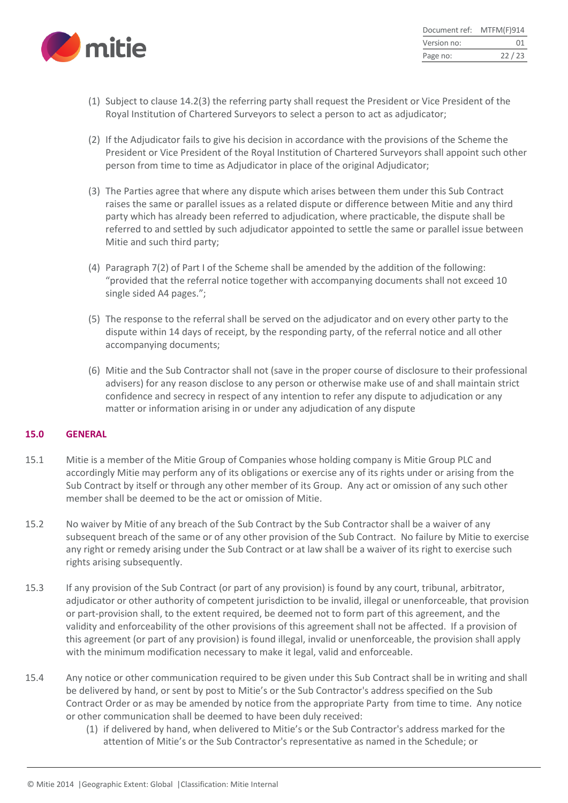

| Document ref: | MTFM(F)914 |
|---------------|------------|
| Version no:   | ()1        |
| Page no:      | 22/23      |

- (1) Subject to clause 14.2(3) the referring party shall request the President or Vice President of the Royal Institution of Chartered Surveyors to select a person to act as adjudicator;
- (2) If the Adjudicator fails to give his decision in accordance with the provisions of the Scheme the President or Vice President of the Royal Institution of Chartered Surveyors shall appoint such other person from time to time as Adjudicator in place of the original Adjudicator;
- (3) The Parties agree that where any dispute which arises between them under this Sub Contract raises the same or parallel issues as a related dispute or difference between Mitie and any third party which has already been referred to adjudication, where practicable, the dispute shall be referred to and settled by such adjudicator appointed to settle the same or parallel issue between Mitie and such third party;
- (4) Paragraph 7(2) of Part I of the Scheme shall be amended by the addition of the following: "provided that the referral notice together with accompanying documents shall not exceed 10 single sided A4 pages.";
- (5) The response to the referral shall be served on the adjudicator and on every other party to the dispute within 14 days of receipt, by the responding party, of the referral notice and all other accompanying documents;
- (6) Mitie and the Sub Contractor shall not (save in the proper course of disclosure to their professional advisers) for any reason disclose to any person or otherwise make use of and shall maintain strict confidence and secrecy in respect of any intention to refer any dispute to adjudication or any matter or information arising in or under any adjudication of any dispute

#### **15.0 GENERAL**

- 15.1 Mitie is a member of the Mitie Group of Companies whose holding company is Mitie Group PLC and accordingly Mitie may perform any of its obligations or exercise any of its rights under or arising from the Sub Contract by itself or through any other member of its Group. Any act or omission of any such other member shall be deemed to be the act or omission of Mitie.
- 15.2 No waiver by Mitie of any breach of the Sub Contract by the Sub Contractor shall be a waiver of any subsequent breach of the same or of any other provision of the Sub Contract. No failure by Mitie to exercise any right or remedy arising under the Sub Contract or at law shall be a waiver of its right to exercise such rights arising subsequently.
- 15.3 If any provision of the Sub Contract (or part of any provision) is found by any court, tribunal, arbitrator, adjudicator or other authority of competent jurisdiction to be invalid, illegal or unenforceable, that provision or part-provision shall, to the extent required, be deemed not to form part of this agreement, and the validity and enforceability of the other provisions of this agreement shall not be affected. If a provision of this agreement (or part of any provision) is found illegal, invalid or unenforceable, the provision shall apply with the minimum modification necessary to make it legal, valid and enforceable.
- 15.4 Any notice or other communication required to be given under this Sub Contract shall be in writing and shall be delivered by hand, or sent by post to Mitie's or the Sub Contractor's address specified on the Sub Contract Order or as may be amended by notice from the appropriate Party from time to time. Any notice or other communication shall be deemed to have been duly received:
	- (1) if delivered by hand, when delivered to Mitie's or the Sub Contractor's address marked for the attention of Mitie's or the Sub Contractor's representative as named in the Schedule; or